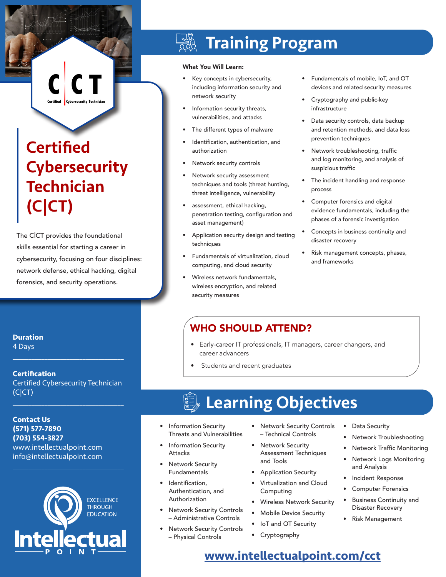# **Certified Cybersecurity Technician** (C|CT)

The C|CT provides the foundational skills essential for starting a career in cybersecurity, focusing on four disciplines: network defense, ethical hacking, digital forensics, and security operations.

**Duration**

4 Days

**Certification** Certified Cybersecurity Technician (C|CT)

 $\mathcal{L}_\text{max}$  and  $\mathcal{L}_\text{max}$  and  $\mathcal{L}_\text{max}$  and  $\mathcal{L}_\text{max}$ 

 $\mathcal{L}_\text{max}$  and  $\mathcal{L}_\text{max}$  and  $\mathcal{L}_\text{max}$  and  $\mathcal{L}_\text{max}$ 

**Contact Us (571) 577-7890 (703) 554-3827** www.intellectualpoint.com info@intellectualpoint.com



 $\mathcal{L}_\text{max}$  and  $\mathcal{L}_\text{max}$  and  $\mathcal{L}_\text{max}$  and  $\mathcal{L}_\text{max}$ 

# Training Program

#### What You Will Learn:

- Key concepts in cybersecurity, including information security and network security
- Information security threats, vulnerabilities, and attacks
- The different types of malware
- Identification, authentication, and authorization
- Network security controls
- Network security assessment techniques and tools (threat hunting, threat intelligence, vulnerability
- assessment, ethical hacking, penetration testing, configuration and asset management)
- Application security design and testing techniques
- Fundamentals of virtualization, cloud computing, and cloud security
- Wireless network fundamentals, wireless encryption, and related security measures
- Fundamentals of mobile, IoT, and OT devices and related security measures
- Cryptography and public-key infrastructure
- Data security controls, data backup and retention methods, and data loss prevention techniques
- Network troubleshooting, traffic and log monitoring, and analysis of suspicious traffic
- The incident handling and response process
- Computer forensics and digital evidence fundamentals, including the phases of a forensic investigation
- Concepts in business continuity and disaster recovery
- Risk management concepts, phases, and frameworks

### WHO SHOULD ATTEND?

- Early-career IT professionals, IT managers, career changers, and career advancers
- Students and recent graduates

## Learning Objectives

- Information Security Threats and Vulnerabilities
- Information Security Attacks
- **Network Security** Fundamentals
- Identification, Authentication, and Authorization
- **Network Security Controls** – Administrative Controls
- **Network Security Controls** – Physical Controls
- Network Security Controls – Technical Controls
- Network Security Assessment Techniques and Tools
- Application Security
- Virtualization and Cloud Computing
- Wireless Network Security
- Mobile Device Security
- IoT and OT Security
- Cryptography
- Data Security
- Network Troubleshooting
- Network Traffic Monitoring
- Network Logs Monitoring and Analysis
- Incident Response
- Computer Forensics
- Business Continuity and Disaster Recovery
- Risk Management

### **[www.intellectualpoint.com/c](https://intellectualpoint.com/product/certified-cybersecurity-technician-cct/)ct**